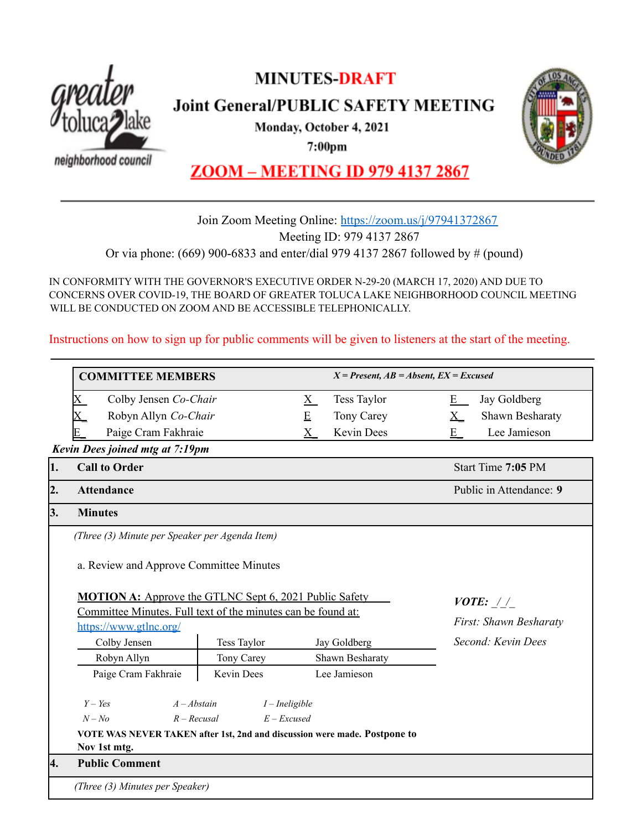

# **MINUTES-DRAFT**

**Joint General/PUBLIC SAFETY MEETING** 

Monday, October 4, 2021

 $7:00<sub>pm</sub>$ 

neighborhood council



**ZOOM - MEETING ID 979 4137 2867** 

# Join Zoom Meeting Online: <https://zoom.us/j/97941372867> Meeting ID: 979 4137 2867

Or via phone: (669) 900-6833 and enter/dial 979 4137 2867 followed by # (pound)

IN CONFORMITY WITH THE GOVERNOR'S EXECUTIVE ORDER N-29-20 (MARCH 17, 2020) AND DUE TO CONCERNS OVER COVID-19, THE BOARD OF GREATER TOLUCA LAKE NEIGHBORHOOD COUNCIL MEETING WILL BE CONDUCTED ON ZOOM AND BE ACCESSIBLE TELEPHONICALLY.

Instructions on how to sign up for public comments will be given to listeners at the start of the meeting.

|            | <b>COMMITTEE MEMBERS</b>                                                                                 |                    | $X =$ Present, $AB =$ Absent, $EX =$ Excused                              |                                    |
|------------|----------------------------------------------------------------------------------------------------------|--------------------|---------------------------------------------------------------------------|------------------------------------|
|            | Colby Jensen Co-Chair<br>$\rm X$                                                                         |                    | Tess Taylor<br>$\underline{X}$                                            | Jay Goldberg<br>$E_{-}$            |
|            | Robyn Allyn Co-Chair                                                                                     |                    | E<br>Tony Carey                                                           | Shawn Besharaty<br>$\underline{X}$ |
|            | Paige Cram Fakhraie                                                                                      |                    | <b>Kevin Dees</b><br>$X_{-}$                                              | Lee Jamieson<br>E                  |
|            | Kevin Dees joined mtg at 7:19pm                                                                          |                    |                                                                           |                                    |
| $\vert$ 1. | <b>Call to Order</b>                                                                                     |                    |                                                                           | Start Time 7:05 PM                 |
| 2.         | <b>Attendance</b>                                                                                        |                    |                                                                           | Public in Attendance: 9            |
| 3.         | <b>Minutes</b>                                                                                           |                    |                                                                           |                                    |
|            | (Three (3) Minute per Speaker per Agenda Item)                                                           |                    |                                                                           |                                    |
|            | a. Review and Approve Committee Minutes<br><b>MOTION A:</b> Approve the GTLNC Sept 6, 2021 Public Safety |                    |                                                                           |                                    |
|            | Committee Minutes. Full text of the minutes can be found at:                                             |                    |                                                                           | <i>VOTE:</i> $1/$                  |
|            | https://www.gtlnc.org/                                                                                   |                    |                                                                           | First: Shawn Besharaty             |
|            | Colby Jensen                                                                                             | <b>Tess Taylor</b> | Jay Goldberg                                                              | Second: Kevin Dees                 |
|            | Robyn Allyn                                                                                              | Tony Carey         | Shawn Besharaty                                                           |                                    |
|            | Paige Cram Fakhraie                                                                                      | Kevin Dees         | Lee Jamieson                                                              |                                    |
|            | $Y - Yes$                                                                                                | $A - Abstain$      | $I$ – Ineligible                                                          |                                    |
|            | $N - No$                                                                                                 | $R - Recusal$      | $E$ – Excused                                                             |                                    |
|            |                                                                                                          |                    | VOTE WAS NEVER TAKEN after 1st, 2nd and discussion were made. Postpone to |                                    |
|            | Nov 1st mtg.                                                                                             |                    |                                                                           |                                    |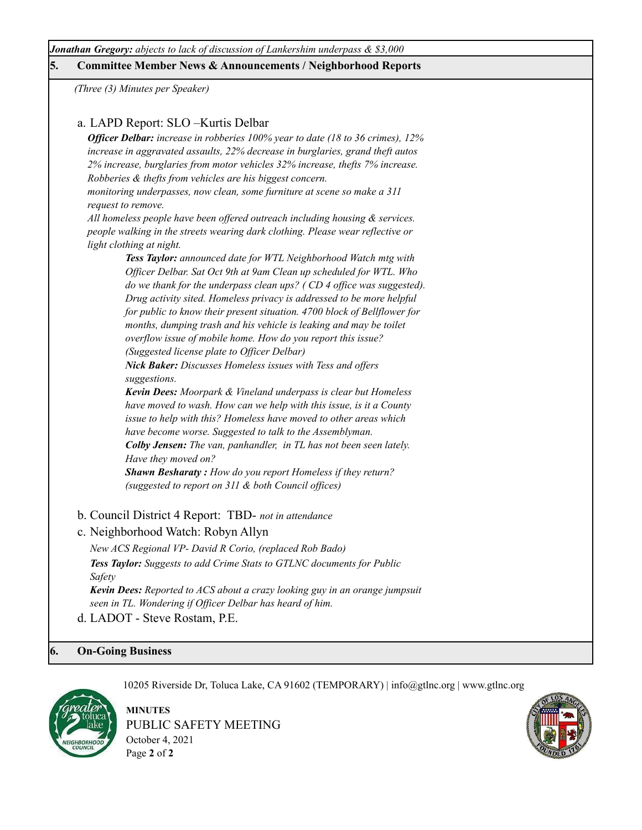*Jonathan Gregory: abjects to lack of discussion of Lankershim underpass & \$3,000*

## **5. Committee Member News & Announcements / Neighborhood Reports**

*(Three (3) Minutes per Speaker)*

# a. LAPD Report: SLO –Kurtis Delbar

*Of icer Delbar: increase in robberies 100% year to date (18 to 36 crimes), 12% increase in aggravated assaults, 22% decrease in burglaries, grand theft autos 2% increase, burglaries from motor vehicles 32% increase, thefts 7% increase. Robberies & thefts from vehicles are his biggest concern.*

*monitoring underpasses, now clean, some furniture at scene so make a 311 request to remove.*

*All homeless people have been of ered outreach including housing & services. people walking in the streets wearing dark clothing. Please wear reflective or light clothing at night.*

> *Tess Taylor: announced date for WTL Neighborhood Watch mtg with Of icer Delbar. Sat Oct 9th at 9am Clean up scheduled for WTL. Who do we thank for the underpass clean ups? ( CD 4 of ice was suggested). Drug activity sited. Homeless privacy is addressed to be more helpful for public to know their present situation. 4700 block of Bellflower for months, dumping trash and his vehicle is leaking and may be toilet overflow issue of mobile home. How do you report this issue? (Suggested license plate to Of icer Delbar)*

*Nick Baker: Discusses Homeless issues with Tess and of ers suggestions.*

*Kevin Dees: Moorpark & Vineland underpass is clear but Homeless have moved to wash. How can we help with this issue, is it a County issue to help with this? Homeless have moved to other areas which have become worse. Suggested to talk to the Assemblyman. Colby Jensen: The van, panhandler, in TL has not been seen lately. Have they moved on?*

*Shawn Besharaty : How do you report Homeless if they return? (suggested to report on 311 & both Council of ices)*

- b. Council District 4 Report: TBD- *not in attendance*
- c. Neighborhood Watch: Robyn Allyn

*New ACS Regional VP- David R Corio, (replaced Rob Bado) Tess Taylor: Suggests to add Crime Stats to GTLNC documents for Public Safety Kevin Dees: Reported to ACS about a crazy looking guy in an orange jumpsuit seen in TL. Wondering if Of icer Delbar has heard of him.*

d. LADOT - Steve Rostam, P.E.

## **6. On-Going Business**



**MINUTES** PUBLIC SAFETY MEETING October 4, 2021 Page **2** of **2**

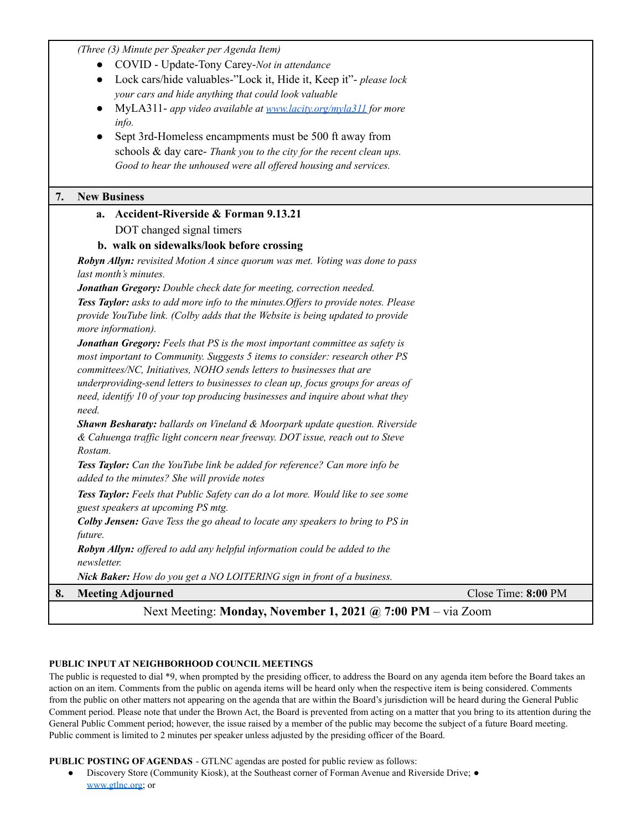*(Three (3) Minute per Speaker per Agenda Item)*

- COVID Update-Tony Carey-*Not in attendance*
- Lock cars/hide valuables-"Lock it, Hide it, Keep it"- *please lock your cars and hide anything that could look valuable*
- MyLA311- *app video available at [www.lacity.org/myla311](http://www.lacity.org/myla311) for more info.*
- Sept 3rd-Homeless encampments must be 500 ft away from schools & day care- *Thank you to the city for the recent clean ups. Good to hear the unhoused were all of ered housing and services.*

### **7. New Business**

*need.*

# **a. Accident-Riverside & Forman 9.13.21** DOT changed signal timers

### **b. walk on sidewalks/look before crossing**

*Robyn Allyn: revisited Motion A since quorum was met. Voting was done to pass last month's minutes.*

*Jonathan Gregory: Double check date for meeting, correction needed.*

*Tess Taylor: asks to add more info to the minutes.Of ers to provide notes. Please provide YouTube link. (Colby adds that the Website is being updated to provide more information).*

*Jonathan Gregory: Feels that PS is the most important committee as safety is most important to Community. Suggests 5 items to consider: research other PS committees/NC, Initiatives, NOHO sends letters to businesses that are underproviding-send letters to businesses to clean up, focus groups for areas of need, identify 10 of your top producing businesses and inquire about what they*

*Shawn Besharaty: ballards on Vineland & Moorpark update question. Riverside & Cahuenga traf ic light concern near freeway. DOT issue, reach out to Steve Rostam.*

*Tess Taylor: Can the YouTube link be added for reference? Can more info be added to the minutes? She will provide notes*

*Tess Taylor: Feels that Public Safety can do a lot more. Would like to see some guest speakers at upcoming PS mtg.*

*Colby Jensen: Gave Tess the go ahead to locate any speakers to bring to PS in future.*

*Robyn Allyn: of ered to add any helpful information could be added to the newsletter.*

*Nick Baker: How do you get a NO LOITERING sign in front of a business.*

# **8. Meeting Adjourned** Close Time: **8:00** PM

# Next Meeting: **Monday, November 1, 2021 @ 7:00 PM** – via Zoom

## **PUBLIC INPUT AT NEIGHBORHOOD COUNCIL MEETINGS**

The public is requested to dial \*9, when prompted by the presiding officer, to address the Board on any agenda item before the Board takes an action on an item. Comments from the public on agenda items will be heard only when the respective item is being considered. Comments from the public on other matters not appearing on the agenda that are within the Board's jurisdiction will be heard during the General Public Comment period. Please note that under the Brown Act, the Board is prevented from acting on a matter that you bring to its attention during the General Public Comment period; however, the issue raised by a member of the public may become the subject of a future Board meeting. Public comment is limited to 2 minutes per speaker unless adjusted by the presiding officer of the Board.

### **PUBLIC POSTING OF AGENDAS** - GTLNC agendas are posted for public review as follows:

Discovery Store (Community Kiosk), at the Southeast corner of Forman Avenue and Riverside Drive; ● [www.gtlnc.org](http://www.gtlnc.org/); or